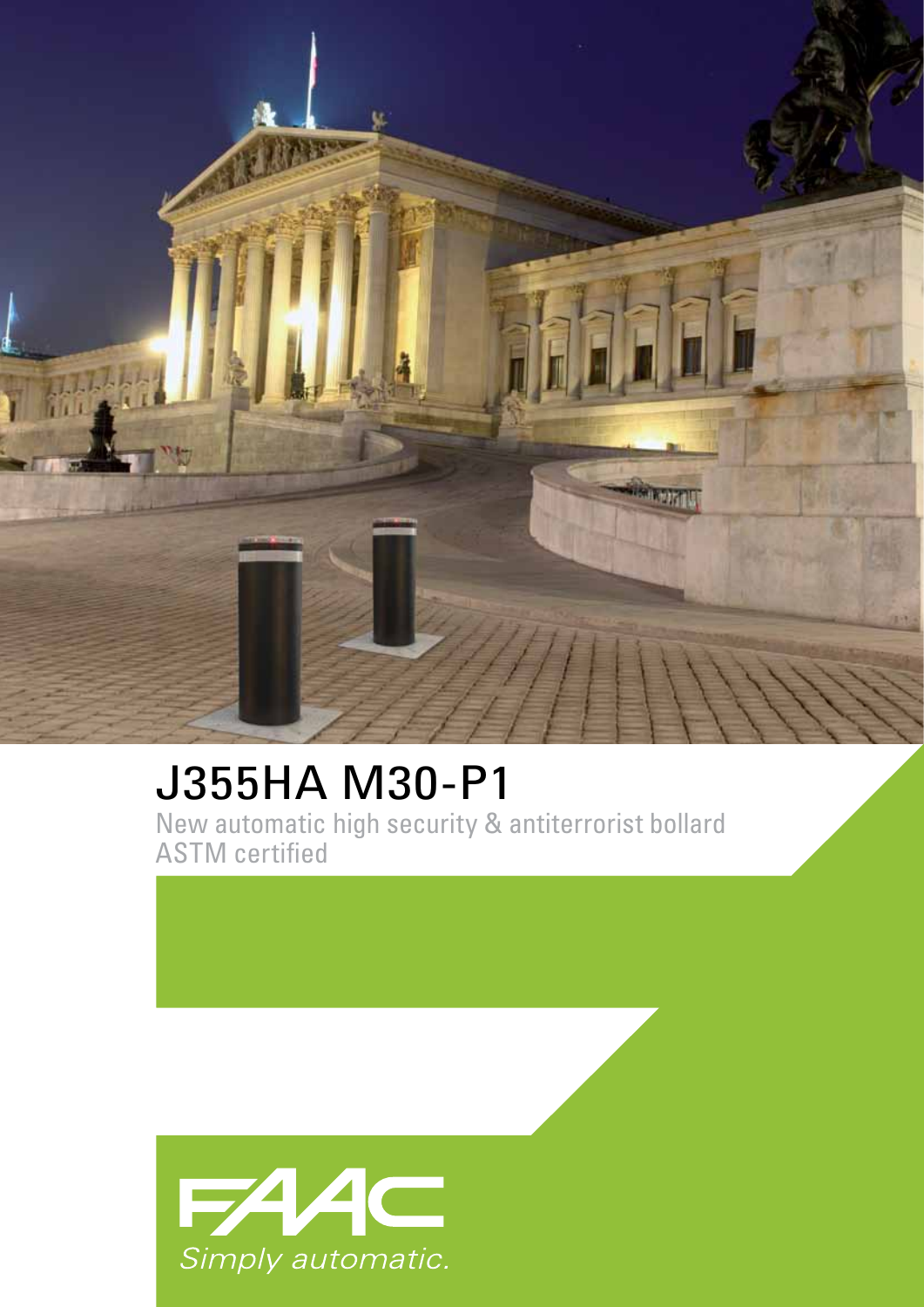

## J355HA M30-P1 New automatic high security & antiterrorist bollard ASTM certified

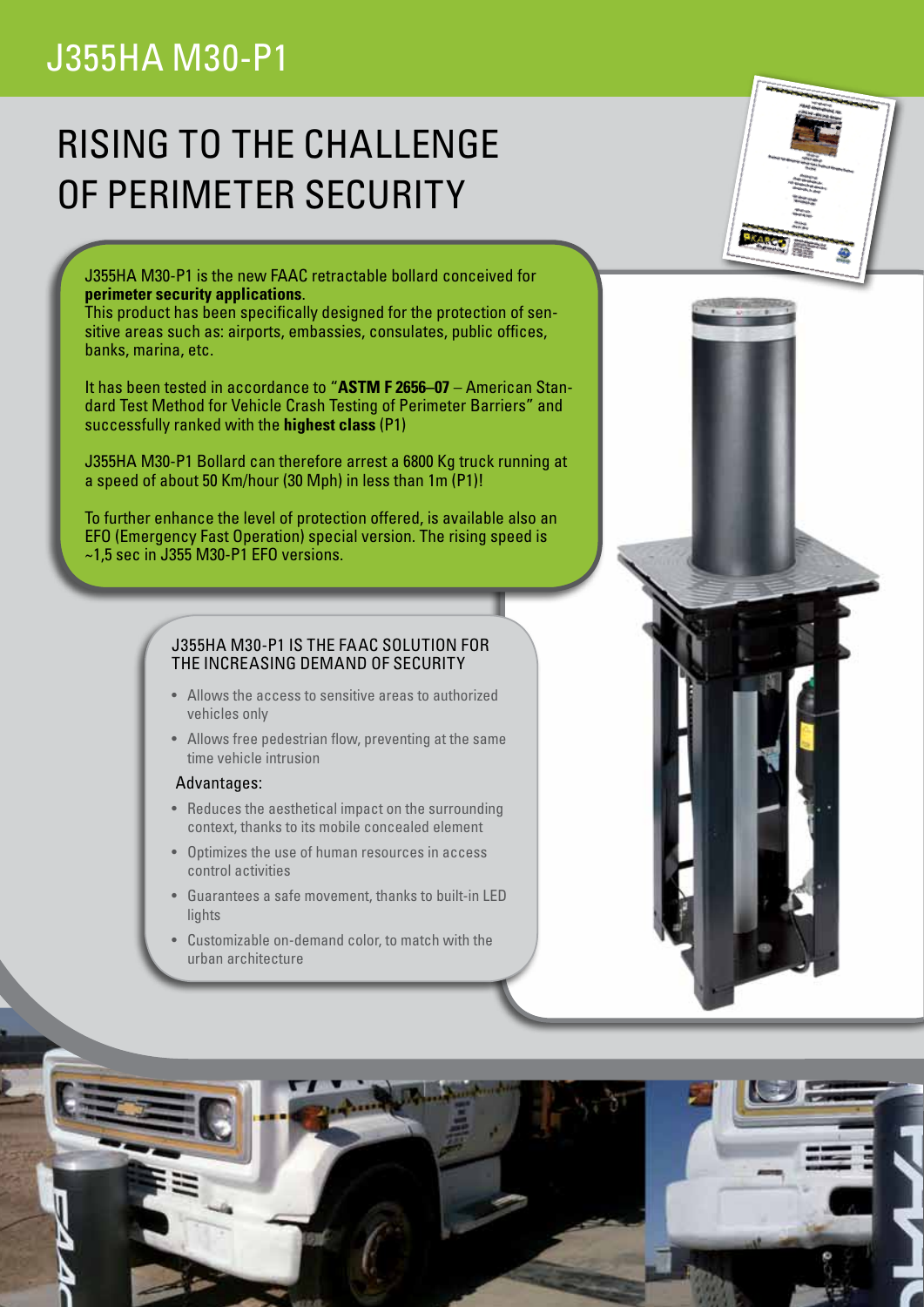## J355HA M30-P1

# RISING TO THE CHALLENGE OF PERIMETER SECURITY

J355HA M30-P1 is the new FAAC retractable bollard conceived for **perimeter security applications**.

This product has been specifically designed for the protection of sensitive areas such as: airports, embassies, consulates, public offices, banks, marina, etc.

It has been tested in accordance to "**ASTM F 2656–07** – American Standard Test Method for Vehicle Crash Testing of Perimeter Barriers" and successfully ranked with the **highest class** (P1)

J355HA M30-P1 Bollard can therefore arrest a 6800 Kg truck running at a speed of about 50 Km/hour (30 Mph) in less than 1m (P1)!

To further enhance the level of protection offered, is available also an EFO (Emergency Fast Operation) special version. The rising speed is  $~1.5$  sec in J355 M30-P1 EFO versions.

### J355HA M30-P1 IS THE FAAC SOLUTION FOR THE INCREASING DEMAND OF SECURITY

- Allows the access to sensitive areas to authorized vehicles only
- Allows free pedestrian flow, preventing at the same time vehicle intrusion

#### Advantages:

- Reduces the aesthetical impact on the surrounding context, thanks to its mobile concealed element
- • Optimizes the use of human resources in access control activities
- • Guarantees a safe movement, thanks to built-in LED lights
- • Customizable on-demand color, to match with the urban architecture



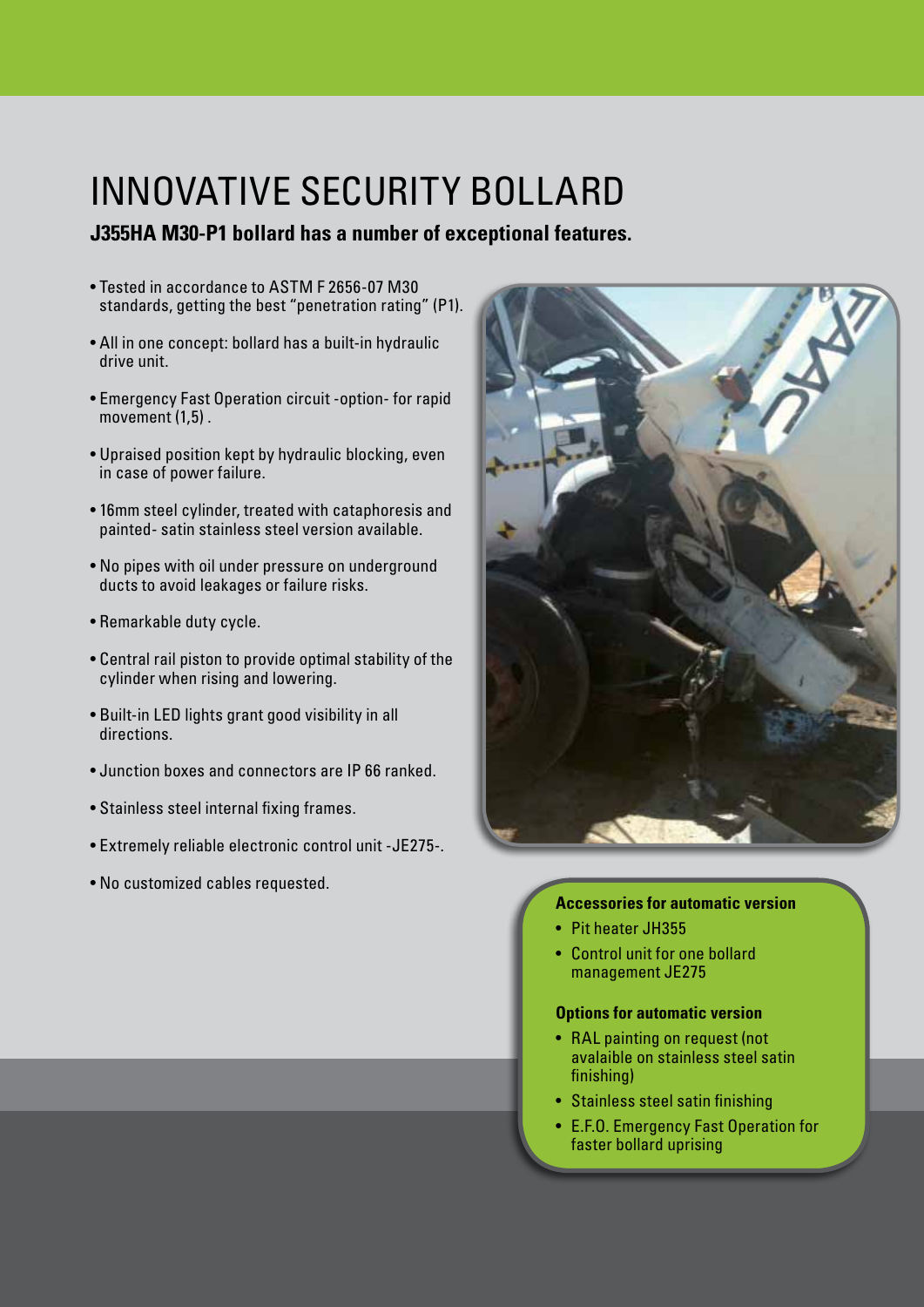# INNOVATIVE SECURITY BOLLARD

## **J355HA M30-P1 bollard has a number of exceptional features.**

- Tested in accordance to ASTM F 2656-07 M30 standards, getting the best "penetration rating" (P1).
- All in one concept: bollard has a built-in hydraulic drive unit.
- Emergency Fast Operation circuit -option- for rapid movement (1,5) .
- Upraised position kept by hydraulic blocking, even in case of power failure.
- 16mm steel cylinder, treated with cataphoresis and painted- satin stainless steel version available.
- No pipes with oil under pressure on underground ducts to avoid leakages or failure risks.
- Remarkable duty cycle.
- Central rail piston to provide optimal stability of the cylinder when rising and lowering.
- Built-in LED lights grant good visibility in all directions.
- Junction boxes and connectors are IP 66 ranked.
- Stainless steel internal fixing frames.
- Extremely reliable electronic control unit -JE275-.
- No customized cables requested.



## **Accessories for automatic version**

- Pit heater JH355
- Control unit for one bollard management JE275

### **Options for automatic version**

- RAL painting on request (not avalaible on stainless steel satin finishing)
- Stainless steel satin finishing
- • E.F.O. Emergency Fast Operation for faster bollard uprising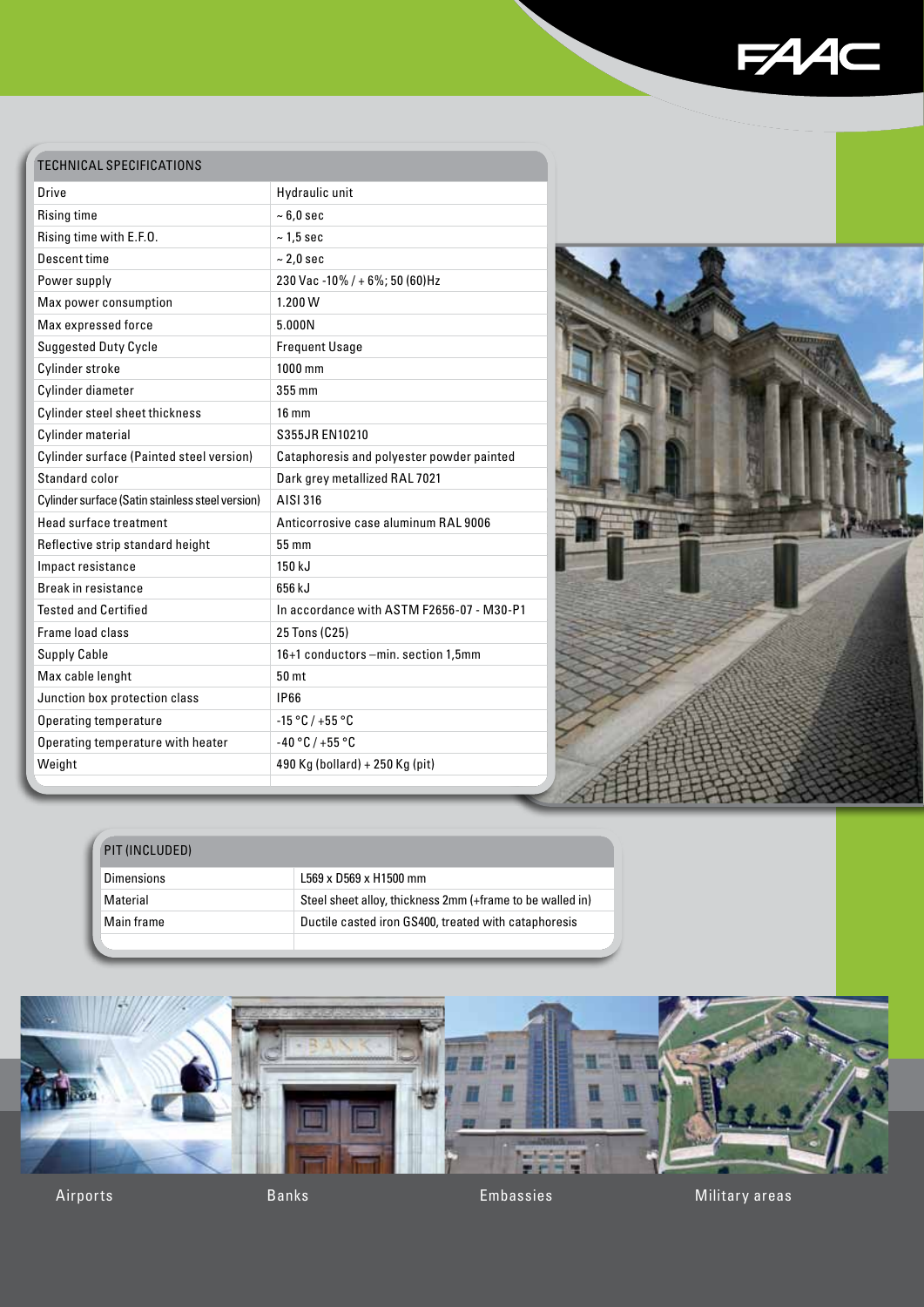

## TECHNICAL SPECIFICATIONS

| Drive                                            | Hydraulic unit                            |
|--------------------------------------------------|-------------------------------------------|
| Rising time                                      | $~5.0$ sec                                |
| Rising time with E.F.O.                          | $~1.5$ sec                                |
| Descent time                                     | $\sim$ 2,0 sec                            |
| Power supply                                     | 230 Vac -10% / + 6%; 50 (60)Hz            |
| Max power consumption                            | 1.200W                                    |
| Max expressed force                              | 5.000N                                    |
| <b>Suggested Duty Cycle</b>                      | <b>Frequent Usage</b>                     |
| Cylinder stroke                                  | $1000$ mm                                 |
| Cylinder diameter                                | 355 mm                                    |
| Cylinder steel sheet thickness                   | $16 \text{ mm}$                           |
| Cylinder material                                | S355JR EN10210                            |
| Cylinder surface (Painted steel version)         | Cataphoresis and polyester powder painted |
| Standard color                                   | Dark grey metallized RAL 7021             |
| Cylinder surface (Satin stainless steel version) | AISI 316                                  |
| Head surface treatment                           | Anticorrosive case aluminum RAL 9006      |
| Reflective strip standard height                 | 55 mm                                     |
| Impact resistance                                | 150 kJ                                    |
| <b>Break in resistance</b>                       | 656 k.J                                   |
| <b>Tested and Certified</b>                      | In accordance with ASTM F2656-07 - M30-P1 |
| Frame load class                                 | 25 Tons (C25)                             |
| <b>Supply Cable</b>                              | 16+1 conductors -min. section 1,5mm       |
| Max cable lenght                                 | 50 mt                                     |
| Junction box protection class                    | <b>IP66</b>                               |
| Operating temperature                            | $-15 °C / +55 °C$                         |
| Operating temperature with heater                | $-40 °C / +55 °C$                         |
| Weight                                           | 490 Kg (bollard) + 250 Kg (pit)           |
|                                                  |                                           |



| PIT (INCLUDED)    |                                                           |
|-------------------|-----------------------------------------------------------|
| <b>Dimensions</b> | L569 x D569 x H1500 mm                                    |
| Material          | Steel sheet alloy, thickness 2mm (+frame to be walled in) |
| Main frame        | Ductile casted iron GS400, treated with cataphoresis      |
|                   |                                                           |

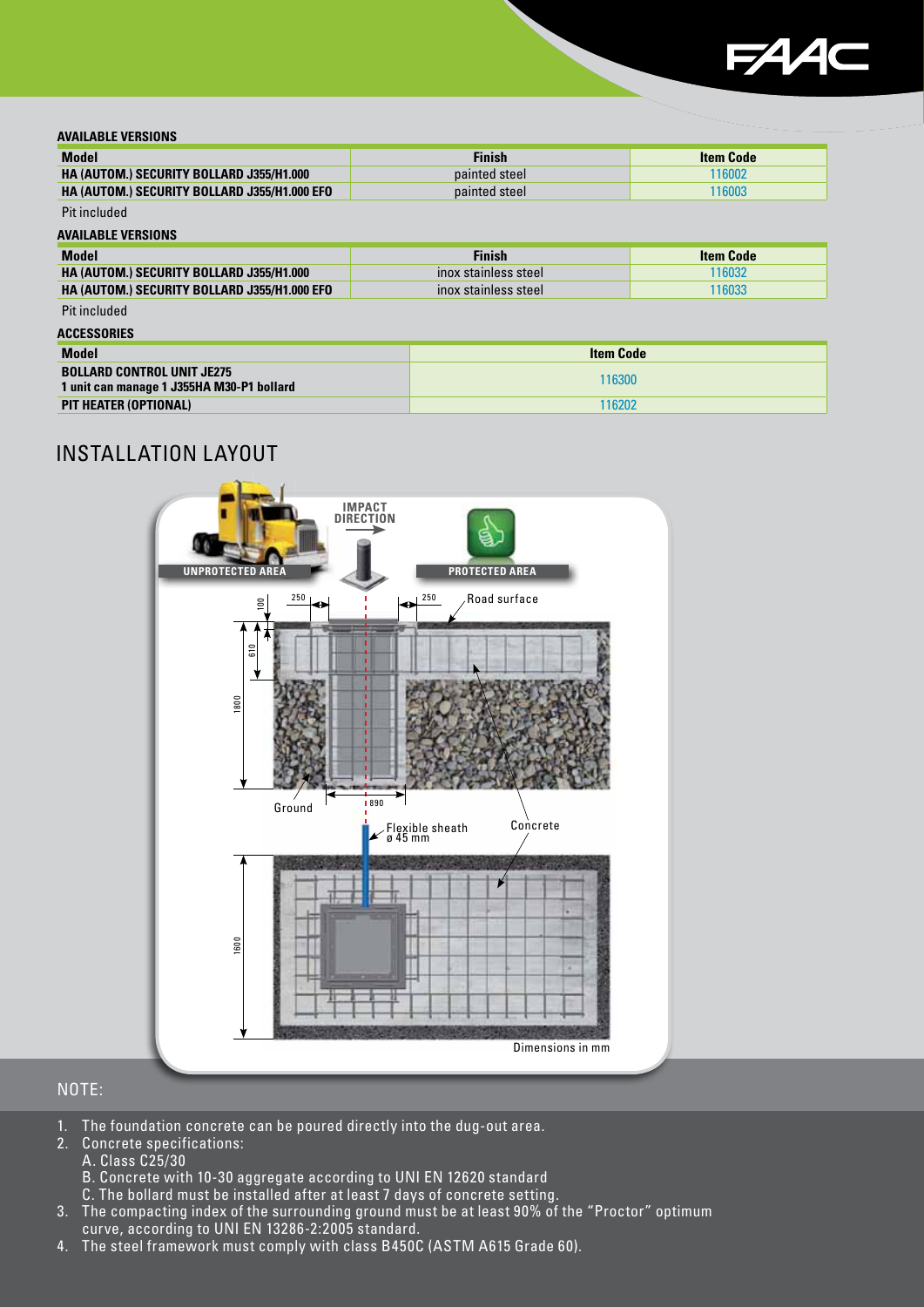![](_page_4_Picture_0.jpeg)

#### **AVAILABLE VERSIONS**

| <b>Model</b>                                        | Finish        | <b>Item Code</b> |
|-----------------------------------------------------|---------------|------------------|
| <b>HA (AUTOM.) SECURITY BOLLARD J355/H1.000</b>     | painted steel | 116002           |
| <b>HA (AUTOM.) SECURITY BOLLARD J355/H1.000 EFO</b> | painted steel | 116003           |

#### Pit included **AVAILABLE VERSIONS**

| <b>Model</b>                                        | <b>Finish</b>        | <b>Item Code</b> |
|-----------------------------------------------------|----------------------|------------------|
| <b>HA (AUTOM.) SECURITY BOLLARD J355/H1.000</b>     | inox stainless steel | 116032           |
| <b>HA (AUTOM.) SECURITY BOLLARD J355/H1.000 EFO</b> | inox stainless steel | 116033           |
| Pit included                                        |                      |                  |

#### **ACCESSORIES**

| <b>Model</b>                                                                   | <b>Item Code</b> |
|--------------------------------------------------------------------------------|------------------|
| <b>BOLLARD CONTROL UNIT JE275</b><br>1 unit can manage 1 J355HA M30-P1 bollard | 116300           |
| PIT HEATER (OPTIONAL)                                                          | 116202           |

## INSTALLATION LAYOUT

![](_page_4_Figure_8.jpeg)

### NOTE:

- 1. The foundation concrete can be poured directly into the dug-out area.
- 2. Concrete specifications:
	- A. Class C25/30
	- B. Concrete with 10-30 aggregate according to UNI EN 12620 standard
	- C. The bollard must be installed after at least 7 days of concrete setting.
- 3. The compacting index of the surrounding ground must be at least 90% of the "Proctor" optimum curve, according to UNI EN 13286-2:2005 standard.
- 4. The steel framework must comply with class B450C (ASTM A615 Grade 60).